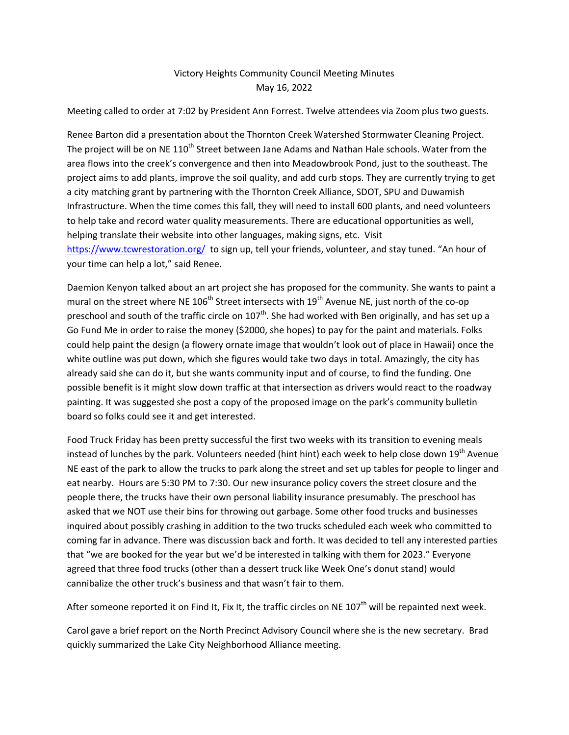## Victory Heights Community Council Meeting Minutes May 16, 2022

Meeting called to order at 7:02 by President Ann Forrest. Twelve attendees via Zoom plus two guests.

Renee Barton did a presentation about the Thornton Creek Watershed Stormwater Cleaning Project. The project will be on NE 110<sup>th</sup> Street between Jane Adams and Nathan Hale schools. Water from the area flows into the creek's convergence and then into Meadowbrook Pond, just to the southeast. The project aims to add plants, improve the soil quality, and add curb stops. They are currently trying to get a city matching grant by partnering with the Thornton Creek Alliance, SDOT, SPU and Duwamish Infrastructure. When the time comes this fall, they will need to install 600 plants, and need volunteers to help take and record water quality measurements. There are educational opportunities as well, helping translate their website into other languages, making signs, etc. Visit <https://www.tcwrestoration.org/> to sign up, tell your friends, volunteer, and stay tuned. "An hour of your time can help a lot," said Renee.

Daemion Kenyon talked about an art project she has proposed for the community. She wants to paint a mural on the street where NE  $106<sup>th</sup>$  Street intersects with  $19<sup>th</sup>$  Avenue NE, just north of the co-op preschool and south of the traffic circle on 107<sup>th</sup>. She had worked with Ben originally, and has set up a Go Fund Me in order to raise the money (\$2000, she hopes) to pay for the paint and materials. Folks could help paint the design (a flowery ornate image that wouldn't look out of place in Hawaii) once the white outline was put down, which she figures would take two days in total. Amazingly, the city has already said she can do it, but she wants community input and of course, to find the funding. One possible benefit is it might slow down traffic at that intersection as drivers would react to the roadway painting. It was suggested she post a copy of the proposed image on the park's community bulletin board so folks could see it and get interested.

Food Truck Friday has been pretty successful the first two weeks with its transition to evening meals instead of lunches by the park. Volunteers needed (hint hint) each week to help close down 19<sup>th</sup> Avenue NE east of the park to allow the trucks to park along the street and set up tables for people to linger and eat nearby. Hours are 5:30 PM to 7:30. Our new insurance policy covers the street closure and the people there, the trucks have their own personal liability insurance presumably. The preschool has asked that we NOT use their bins for throwing out garbage. Some other food trucks and businesses inquired about possibly crashing in addition to the two trucks scheduled each week who committed to coming far in advance. There was discussion back and forth. It was decided to tell any interested parties that "we are booked for the year but we'd be interested in talking with them for 2023." Everyone agreed that three food trucks (other than a dessert truck like Week One's donut stand) would cannibalize the other truck's business and that wasn't fair to them.

After someone reported it on Find It, Fix It, the traffic circles on NE  $107<sup>th</sup>$  will be repainted next week.

Carol gave a brief report on the North Precinct Advisory Council where she is the new secretary. Brad quickly summarized the Lake City Neighborhood Alliance meeting.